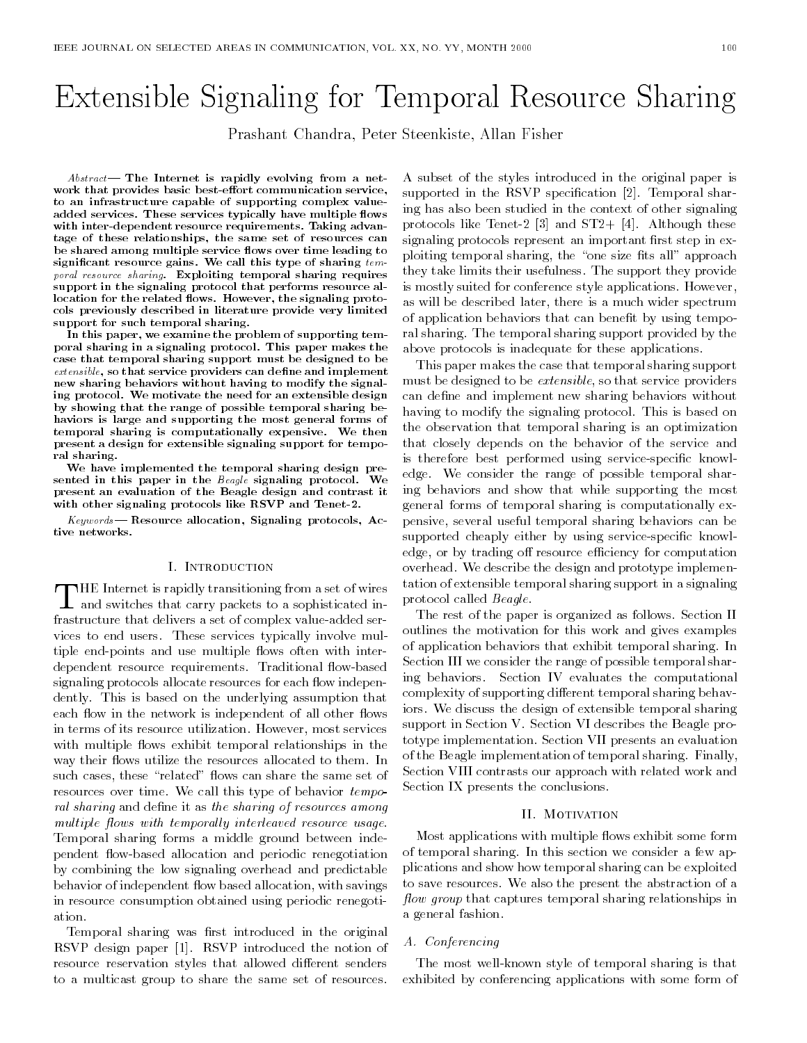# Extensible Signaling for Temporal Resource Sharing

Prashant Chandra, Peter Steenkiste, Allan Fisher

 $Abstract$  The Internet is rapidly evolving from a network that provides basic basic communication services bestto an infrastructure capable of supporting complex valueadded services. These services typically have multiple flows with inter-dependent resource requirements Taking advantage of these relationships, the same set of resources can be shared among multiple service flows over time leading to significant resource gains. We call this type of sharing  $tem$ poral resource sharing. Exploiting temporal sharing requires support in the signaling protocol that performs resource allocation for the related flows. However, the signaling protocols previously described in literature provide very limited support for such temporal sharing.

In this paper, we examine the problem of supporting temporal sharing in a signaling protocol. This paper makes the case that temporal sharing support must be designed to be extensible, so that service providers can define and implement new sharing behaviors without having to modify the signaling protocol. We motivate the need for an extensible design by showing that the range of possible temporal sharing behaviors is large and supporting the most general forms of temporal sharing is computationally expensive. We then present a design for extensible signaling support for temporal sharing. ral sharing

We have implemented the temporal sharing design presented in this paper in the  $Beagle$  signaling protocol. We present an evaluation of the Beagle design and contrast it with other signaling protocols like RSVP and Tenet-Tenet-

 $Keywords$ -Resource allocation, Signaling protocols, Active networks

# I. INTRODUCTION

and switches that carry packets to a sophisticated infrastructure that delivers a set of complex value-added services to end users- inverse services typically involve involve tiple end-points and use multiple flows often with interare resources to resource requirements-official or an analysis of the resource of the contract of the contract signaling protocols allocate resources for each flow independently- the state on the underlying which the underlying  $\sim$ each flow in the network is independent of all other flows in terms of its resource utilization- However most services with multiple flows exhibit temporal relationships in the way the resources allocated to the resources allocated to the resources allocated to the resources allocated to such cases, these "related" flows can share the same set of resources over time- and this type of behavior temps ral sharing and define it as the sharing of resources among multiple -ows with temporal ly interleaved resource usage-Temporal sharing forms a middle ground between inde pendent flow-based allocation and periodic renegotiation by combining the low signaling overhead and predictable behavior of independent flow based allocation, with savings in resource consumption obtained using periodic renegoti ation-

Temporal sharing was first introduced in the original red in the notion paper in the notion of the notion of the notion of the notion of the notion of the notion of resource reservation styles that allowed different senders to a multicast group to share the same set of resources-

 A subset of the styles introduced in the original paper is ing has also been studied in the context of other signaling protocols like Tenet and ST - Although these is mostly suited for compliance style applications-measures to as will be described later there is a much wider spectrum ral sharing- the temporal sharing support provided by the t supported in the CDV specification paper with the RSVP specific signaling protocols represent an important first step in exploiting temporal sharing, the "one size fits all" approach they take limits their usefulness- The support they provide of application behaviors that can benefit by using tempoabove protocols is inadequate for these applications-

 having to modify the signaling protocol- This is based on that closely depends on the behavior of the service and edge- We consider the range of possible temporal shar pensive several useful temporal sharing behaviors can be This paper makes the case that temporal sharing support must be designed to be *extensible*, so that service providers can define and implement new sharing behaviors without the observation that temporal sharing is an optimization is therefore best performed using service-specific knowling behaviors and show that while supporting the most general forms of temporal sharing is computationally ex supported cheaply either by using service-specific knowledge, or by trading off resource efficiency for computation overhead- we design and design and prototype implement tation of extensible temporal sharing support in a signaling protocol called Beagle.

The rest of the paper is organized as follows- Section II outlines the motivation for this work and gives examples of application behaviors that exhibit temporal sharing- In Section III we consider the range of possible temporal shar ing behaviors- Section IV evaluates the computational complexity of supporting different temporal sharing behaviors- We discuss the design of extensible temporal sharing support in Section V- Section VI describes the Beagle pro totype implementation-section-terms in evaluation-section-section-sectionof the Beagle implementation of temporal sharing- Finally Section VIII contrasts our approach with related work and Section IX presents the conclusions.

Most applications with multiple flows exhibit some form of temporal sharing- In this section we consider a few ap plications and show how temporal sharing can be exploited to save resources- also the abstraction of abstraction of a -ow group that captures temporal sharing relationships in a general fashion-

# A. Conferencing

The most well-known style of temporal sharing is that exhibited by conferencing applications with some form of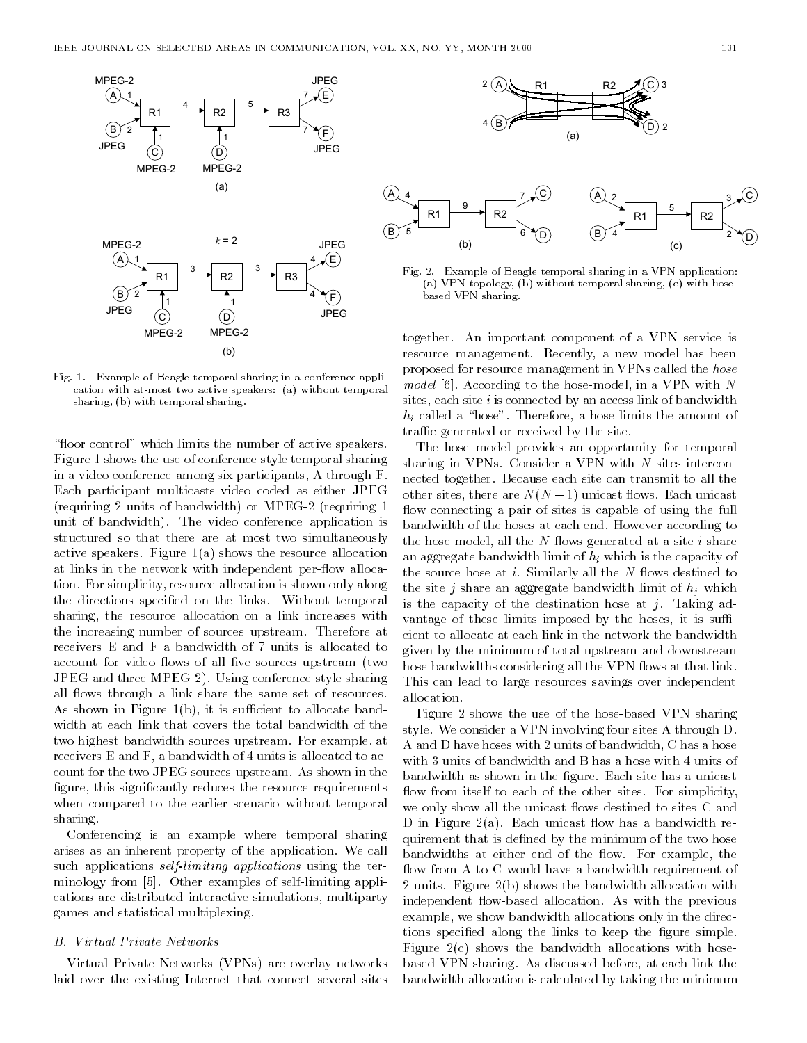

A 4 ( B C D  $\overline{c}$ 3  $\overline{\mathbf{c}}$  $(a)$ R1 1 R2



Fig. 2. Example of Beagle temporal sharing in a VPN application: (a) VPN topology, (b) without temporal sharing, (c) with hosebased VPN sharing

Fig - Example of Beagle temporal sharing in a conference appli cation with at-most two active speakers: (a) without temporal sharing,  $(b)$  with temporal sharing.

"floor control" which limits the number of active speakers. Figure 1 shows the use of conference style temporal sharing in a video conference among six participants, A through F. Each participant multicasts video coded as either JPEG  $($ requiring 2 units of bandwidth $)$  or MPEG-2 (requiring 1 unit of and wide of the video conference application is structured so that there are at most two simultaneously active speakers-speakers-bactive speakers-speakers-speakers-speakers-speakers-speakers-speakers-speakers-speak at links in the network with independent per-flow allocation- For simplicity resource allocation is shown only along the directions specied on the links- Without temporal sharing, the resource allocation on a link increases with the increasing number of sources upstream- Therefore at receivers E and F a bandwidth of 7 units is allocated to account for video flows of all five sources upstream (two JPEG and three MPEG- Using conference style sharing all flows through a link share the same set of resources. As shown in Figure  $1(b)$ , it is sufficient to allocate bandwidth at each link that covers the total bandwidth of the two mights bandwidth sources upstream-sources upstreamreceivers E and F, a bandwidth of 4 units is allocated to account for the two JPEG sources upstream- As shown in the figure, this significantly reduces the resource requirements when compared to the earlier scenario without temporal sharing-

Conferencing is an example where temporal sharing arises as an inherent property of the applicationsuch applications *self-limiting applications* using the terminology from the contract of self-line application of self-line applications of self-line applications of selfcations are distributed interactive simulations, multiparty games and statistical multiplexing-

# B. Virtual Private Networks

Virtual Private Networks (VPNs) are overlay networks laid over the existing Internet that connect several sites

together- An important component of a VPN service is resource management- Recently a new model has been proposed for resource management in VPNs called the  $hose$ model - According to the hosemodel in a VPN with N sites, each site  $i$  is connected by an access link of bandwidth  $\mathbf{r}$  called a hose-fore a hose-fore and amount of amount of amount of amount of amount of amount of amount of amount of amount of a traffic generated or received by the site.

The hose model provides an opportunity for temporal sharing in VPNs-Consider a VPN with N sites interconsider nected to all the can transmitted to all the can transmitted to all the can transmitted to all the can transmit other sites, there are  $N(N - 1)$  unicast hows. Each unicast flow connecting a pair of sites is capable of using the full bandwidth of the hoses at each end- However according to the hose model, all the  $N$  flows generated at a site  $i$  share an aggregate bandwidth limit of  $h_i$  which is the capacity of the source hose at i-source hose at i-source hose at i-source hose at i-source hose at i-source to the N ows destined to the site j share an aggregate bandwidth limit of  $h_i$  which is the capacity of the destination hose at j- Taking ad vantage of these limits imposed by the hoses, it is sufficient to allocate at each link in the network the bandwidth given by the minimum of total upstream and downstream hose bandwidths considering all the VPN flows at that link. This can lead to large resources savings over independent allocation-

Figure 2 shows the use of the hose-based VPN sharing style- was considered a very site and the sites and the considered  $\sim$ A and D have hoses with 2 units of bandwidth, C has a hose with 3 units of bandwidth and B has a hose with 4 units of bandwidth as shown in the gure-shown in the gure-shown in the gure-shown in the gure-shown in the gure-shown in ow from itself to each of the other sites- sites- of the siteswe only show all the unicast flows destined to sites C and d in Figure and the figure and the figure and the figure and the figure and the figure and the figure and the figure and the figure and the figure and the figure and the figure and the figure and the figure and the figure quirement that is defined by the minimum of the two hose bandwidths at either end of the owe-the ow-the-ow-the-ow-the-ow-the-ow-the-ow-the-ow-the-ow-the-ow-the-ow-theflow from A to C would have a bandwidth requirement of  $\blacksquare$  - finite states that  $\blacksquare$  shows the bandwidth allocation with all  $\blacksquare$ independent owbased allocation-between the previous control of the previous control of the previous control of example, we show bandwidth allocations only in the directions specified along the links to keep the figure simple. Figure  $2(c)$  shows the bandwidth allocations with hosebased versions and the sharing-at each link the sharper at each link the sharper of the sharper of the sharper bandwidth allocation is calculated by taking the minimum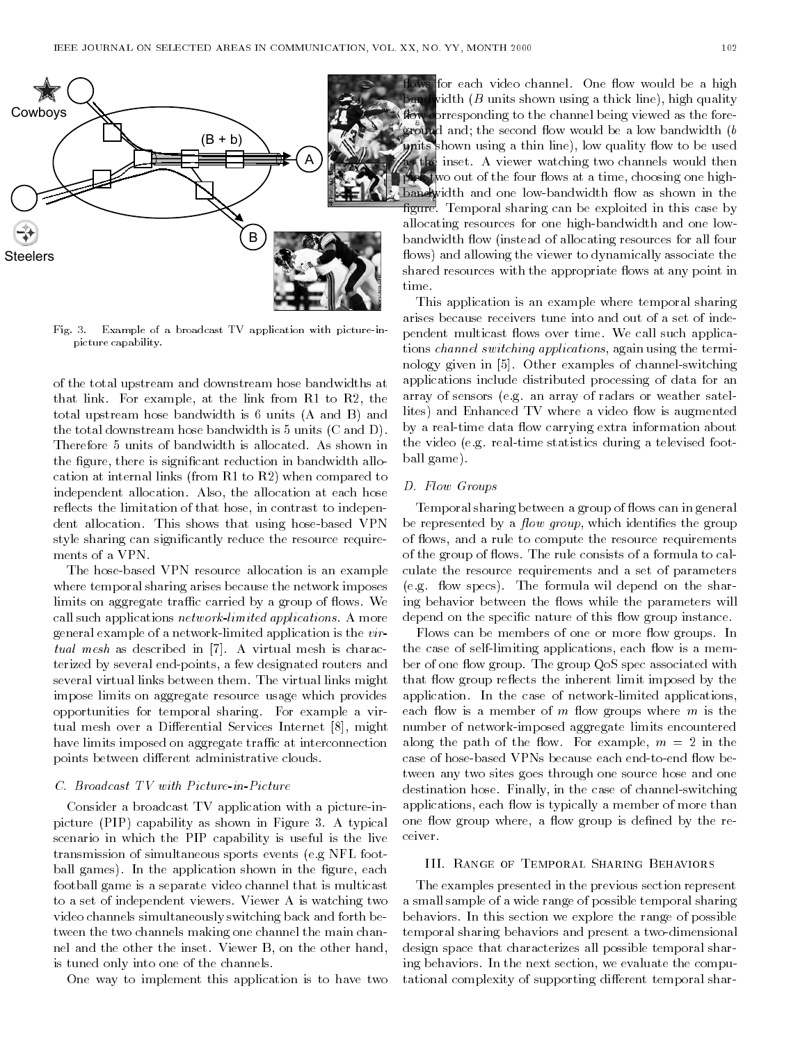

Fig. 3. Example of a broadcast TV application with picture-inpicture capability

of the total upstream and downstream hose bandwidths at that link-that link-that link-that link-that link-that link-that link-that link-that link from Roman Roman Roma total upstream hose bandwidth is 6 units (A and B) and the total downstream hose bandwidth is  $5$  units  $(C \text{ and } D)$ . the figure, there is significant reduction in bandwidth allocation at internal links (from R1 to R2) when compared to independent allocation- Also the allocation at each hose reflects the limitation of that hose, in contrast to indepenallocation-that the shows that using the shows that  $\mathbf{r}$ style sharing can signicantly reduce the resource require ments of a VPN.

The hose-based VPN resource allocation is an example where temporal sharing arises because the network imposes limits on aggregate trac carried by a group of ows- We call such applications networklimited applications- A more general example of a network-limited application is the  $vir$ tual mesh as described in the second in the second in the second in the second in the second in the second in terized by several end-points, a few designated routers and several virtual internet the virtual links might between the strength of the virtual links might be a strength impose limits on aggregate resource usage which provides opportunities for temporal sharing- For example a vir tual mesh over a Dierential Services Internet and Dierential Services Internet and Dierential Services Internet have limits imposed on aggregate traffic at interconnection points between different administrative clouds.

# $C.$  Broadcast  $TV$  with Picture-in-Picture

Consider a broadcast TV application with a picture-inpicture  $\mathcal{P}_1$  can be a typical for  $\mathcal{P}_2$  as shown in Figure . The shown in Figure , we have a shown in Figure . In Figure , we have a shown in Figure , we have a shown in Figure . In Figure , we have a shown in Fi scenario in which the PIP capability is useful is the live transmission of simultaneous sports events e-g NFL foot ball games- In the application shown in the application shown in the gure each shown in the gure each shown in football game is a separate video channel that is multicast to a set of independent viewers-to-a is watching two sets of independent viewersvideo channels simultaneously switching back and forth be tween the two channels making one channel the main chan nel and the these instruments the inset-  $\mathbf{w}$  and the other handle is tuned only into one of the channels.

One way to implement this application is to have two

ows for each video channel- One ow would be a high width  $(B$  units shown using a thick line), high quality corresponding to the channel being viewed as the foreground and; the second flow would be a low bandwidth  $\mathit{b}$ units shown using a thin line), low quality flow to be used as the inset of the inset of the inset of the inset of the inset of the inset of the inset of the inset of the two out of the four flows at a time, choosing one highbandwidth and one low-bandwidth flow as shown in the

gure-temporal sharing can be exploited in this case by exploited in this case by exploited in this case by exp allocating resources for one high-bandwidth and one lowbandwidth flow (instead of allocating resources for all four flows) and allowing the viewer to dynamically associate the shared resources with the appropriate flows at any point in time.

This application is an example where temporal sharing arises because receivers tune into and out of a set of inde pendent multicast over the such as  $\alpha$ tions channel switching applications again using the termi nology given in - Other examples of channelswitching applications include distributed processing of data for an array of sensors e-definition of radars or weather satellite satellite satellite satellite satellite satellite lites) and Enhanced TV where a video flow is augmented by a real-time data flow carrying extra information about the video e-g- realtime statistics during a televised foot ball game).

### D. Flow Groups

Temporal sharing between a group of flows can in general be represented by a -ow group which identies the group of flows, and a rule to compute the resource requirements of the group of however which consists of a formula to call culate the resource requirements and a set of parameters e-g- ow specs- The formula wil depend on the shar ing behavior between the flows while the parameters will depend on the specific nature of this flow group instance.

 $\Box$  in the members of one or more or more or more or more or more or more or more or more or more or more own  $\Box$ the case of self-limiting applications, each flow is a memassociated with groups with group QoS specificated with an operator of the specific with  $\sim$ that flow group reflects the inherent limit imposed by the application-distribution-distribution-distribution-distribution-distribution-distribution-distribution-distrib each flow is a member of  $m$  flow groups where  $m$  is the number of network-imposed aggregate limits encountered along the path of the owe was also the owner may be a the the case of hose-based VPNs because each end-to-end flow between any two sites goes through one source hose and one destination hose- Finally in the case of channelswitching applications, each flow is typically a member of more than one flow group where, a flow group is defined by the receiver.

# III. RANGE OF TEMPORAL SHARING BEHAVIORS

The examples presented in the previous section represent a small sample of a wide range of possible temporal sharing behaviors-behaviors-behaviors-behaviors-behaviors-behaviors-behaviors-behaviors-behaviors-behaviors-behaviorstemporal sharing behaviors and present a two-dimensional design space that characterizes all possible temporal shar ing behaviors- In the next section we evaluate the compu tational complexity of supporting different temporal shar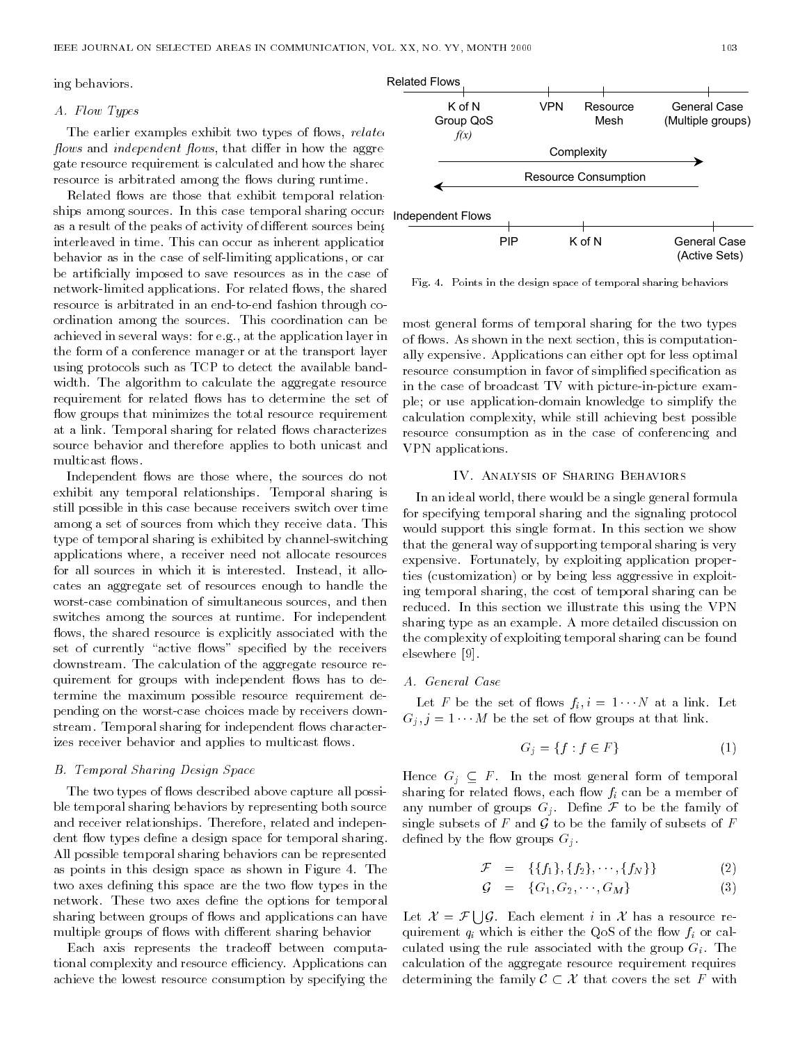ing behaviors-

# A. Flow Types

The earlier examples exhibit two types of flows, related -ows and independent -ows that dier in how the aggre gate resource requirement is calculated and how the shared resource is arbitrated among the flows during runtime.

Related flows are those that exhibit temporal relation ships among sources- In this case temporal sharing occurs as a result of the peaks of activity of different sources being interleaved in time- This can occur as inherent application behavior as in the case of self-limiting applications, or can be artificially imposed to save resources as in the case of networklimited applications- For related ows the shared resource is arbitrated in an end-to-end fashion through coordination among the sources- This coordination can be achieved in several ways for each complete the second contraction and the application of the application of th the form of a conference manager or at the transport layer using protocols such as TCP to detect the available band with the algorithm to calculate the aggregate resource requirement for related flows has to determine the set of flow groups that minimizes the total resource requirement at a monet sharp for relatively for relative motion formation and source behavior and therefore applies to both unicast and multicast flows.

Independent flows are those where, the sources do not exhibit any temporal relationships- relationships-  $\mathcal{L}_\mathbf{z}$ still possible in this case because receivers switch over time armong a set of sources from which they receive data  $\sim$   $\sim$ type of temporal sharing is exhibited by channel-switching applications where, a receiver need not allocate resources for all sources in which it is interested- Instead it allo cates an aggregate set of resources enough to handle the worst-case combination of simultaneous sources, and then switches among the sources at runtime- For independent flows, the shared resource is explicitly associated with the set of currently "active flows" specified by the receivers downstream-the calculation of the aggregate resource resource resource resource resource resource resource res quirement for groups with independent flows has to determine the maximum possible resource requirement de pending on the worst-case choices made by receivers downstrates sharp from the sharp for independent or its characteristic izes receiver behavior and applies to multicast flows.

# B. Temporal Sharing Design Space

The two types of flows described above capture all possible temporal sharing behaviors by representing both source and receiver relationships- Therefore related and indepen dent flow types define a design space for temporal sharing. All possible temporal sharing behaviors can be represented as points in this design space as shown in Figure - The two axes defining this space are the two flow types in the network-two axes dene two axes dene two axes dene the options for temporal axes dene the options for temporal a sharing between groups of flows and applications can have multiple groups of flows with different sharing behavior

Each axis represents the tradeoff between computational complexity and resource eciency- Applications can achieve the lowest resource consumption by specifying the



Fig. . The design space of the design space of the design space of temporal sharing behaviors of the design space of the design space of the design space of the design space of the design space of the design space of the

most general forms of temporal sharing for the two types of ows- As shown in the next section this is computation ally expensive- Applications can either opt for less optimal resource consumption in favor of simplified specification as in the case of broadcast  $TV$  with picture-in-picture example; or use application-domain knowledge to simplify the calculation complexity, while still achieving best possible resource consumption as in the case of conferencing and VPN applications-

# IV. ANALYSIS OF SHARING BEHAVIORS

In an ideal world, there would be a single general formula for specifying temporal sharing and the signaling protocol wo we support the singlet formation we show section we show we show that the general way of supporting temporal sharing is very expensive- Fortunately by exploiting application proper ties (customization) or by being less aggressive in exploiting temporal sharing, the cost of temporal sharing can be reduced-by this section we incomediate this using this very sharing type as an example- A more detailed discussion on the complexity of exploiting temporal sharing can be found elsewhere -

# A. General Case

Let  $F$  be the set of hows  $f_i, i = 1 \cdots N$  at a link. Let  $G_j, j = 1 \cdots M$  be the set of now groups at that link.

$$
G_j = \{ f : f \in F \} \tag{1}
$$

Hence  $G_i \subseteq F$  . In the most general form of temporal sharing for related flows, each flow  $f_i$  can be a member of any number of groups  $G_i$ . Define F to be the family of single subsets of  $F$  and  $\mathcal G$  to be the family of subsets of  $F$ defined by the flow groups  $G_j$ .

$$
\mathcal{F} = \{ \{f_1\}, \{f_2\}, \cdots, \{f_N\} \} \tag{2}
$$

$$
\mathcal{G} = \{G_1, G_2, \cdots, G_M\} \tag{3}
$$

Let  $\mathcal{X} = \mathcal{F} \cup \mathcal{G}$ . Each element i in X has a resource requirement  $q_i$  which is either the QoS of the flow  $f_i$  or calculated using the rule associated with the group  $\alpha$  , and calculation of the aggregate resource requirement requires determining the family  $\mathcal{C} \subset \mathcal{X}$  that covers the set F with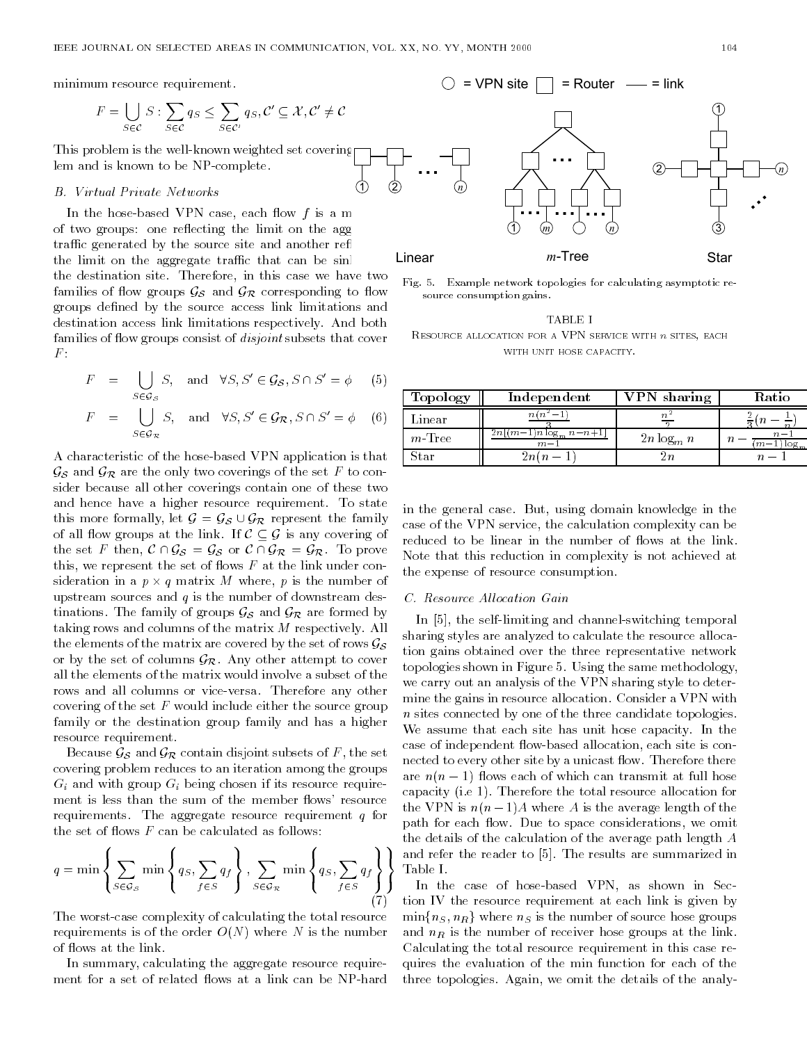minimum resource requirement.

$$
F = \bigcup_{S \in \mathcal{C}} S : \sum_{S \in \mathcal{C}} q_S \le \sum_{S \in \mathcal{C}'} q_S, \mathcal{C}' \subseteq \mathcal{X}, \mathcal{C}' \ne \mathcal{C}
$$

This problem is the well-known weighted set covering lem and is known to be NP-complete.

#### B. Virtual Private Networks

In the hose-based VPN case, each flow  $f$  is a m of two groups: one reflecting the limit on the agg traffic generated by the source site and another ref the limit on the aggregate traffic that can be sink the destination site- therefore in this case we have two two  $\mathbb{R}^n$ families of flow groups  $\mathcal{G}_{\mathcal{S}}$  and  $\mathcal{G}_{\mathcal{R}}$  corresponding to flow groups dened by the source access link limitations and accession access links and both limitations respectively- and access and access families of flow groups consist of *disjoint* subsets that cover  $F$  :

$$
F = \bigcup_{S \in \mathcal{G}_S} S, \text{ and } \forall S, S' \in \mathcal{G}_S, S \cap S' = \phi \quad (5)
$$
  

$$
F = \bigcup_{S \in \mathcal{G}_R} S, \text{ and } \forall S, S' \in \mathcal{G}_R, S \cap S' = \phi \quad (6)
$$

A characteristic of the hosebased VPN application is that  $\mathcal{G}_{\mathcal{S}}$  and  $\mathcal{G}_{\mathcal{R}}$  are the only two coverings of the set F to consider because all other coverings contain one of these two and hence have a higher resource requirement- To state this more formally, let  $\mathcal{G} = \mathcal{G}_{\mathcal{S}} \cup \mathcal{G}_{\mathcal{R}}$  represent the family of all flow groups at the link. If  $\mathcal{C} \subseteq \mathcal{G}$  is any covering of the set F then,  $\mathcal{C} \cap \mathcal{G}_{\mathcal{S}} = \mathcal{G}_{\mathcal{S}}$  or  $\mathcal{C} \cap \mathcal{G}_{\mathcal{R}} = \mathcal{G}_{\mathcal{R}}$ . To prove this, we represent the set of flows  $F$  at the link under consideration in a  $p \times q$  matrix M where, p is the number of upstream sources and  $q$  is the number of downstream destinations. The family of groups  $\mathcal{G}_{\mathcal{S}}$  and  $\mathcal{G}_{\mathcal{R}}$  are formed by taking rows and columns of the matrix M respectively- All the elements of the matrix are covered by the set of rows  $\mathcal{G}_{\mathcal{S}}$ or by the set of columns  $\mathcal{G}_{\mathcal{R}}$ . Any other attempt to cover all the elements of the matrix would involve a subset of the rows and all columns or viceversa- Therefore any other covering of the set  $F$  would include either the source group family or the destination group family and has a higher resource requirement.

Because  $\mathcal{G}_{\mathcal{S}}$  and  $\mathcal{G}_{\mathcal{R}}$  contain disjoint subsets of F, the set covering problem reduces to an iteration among the groups  $G_i$  and with group  $G_i$  being chosen if its resource requirement is less than the sum of the member flows' resource requirements- and regular resource requirement q resource the set of flows  $F$  can be calculated as follows:

$$
q = \min \left\{ \sum_{S \in \mathcal{G}_S} \min \left\{ q_S, \sum_{f \in S} q_f \right\}, \sum_{S \in \mathcal{G}_R} \min \left\{ q_S, \sum_{f \in S} q_f \right\} \right\} \text{ and refer to the function } \prod_{f \in \mathcal{G}_S} \min \left\{ q_f \right\}.
$$

The worst-case complexity of calculating the total resource requirements is of the order  $O(N)$  where N is the number of flows at the link.

In summary, calculating the aggregate resource requirement for a set of related flows at a link can be NP-hard



Fig. 5. Example network topologies for calculating asymptotic resource consumption gains

### TABLE I

Resource allocation for a VPN service with <sup>n</sup> sites each WITH UNIT HOSE CAPACITY.

| Topology  | Independent                                   | VPN sharing   | Ratio                       |
|-----------|-----------------------------------------------|---------------|-----------------------------|
| Linear    |                                               |               |                             |
| $m$ -Tree | $1\,n \log_m n - n + 1$<br>$2n(m-1)$<br>$m-1$ | $2n \log_m n$ | $n -$<br>$m-1$<br>$log_{m}$ |
| Star      | 2n(                                           | zn            |                             |

in the general case- But using domain knowledge in the case of the VPN service, the calculation complexity can be reduced to be linear in the number of flows at the link. Note that this reduction in complexity is not achieved at the expense of resource consumption.

#### C. Resource Allocation Gain

the contract of the contract of the contract of the contract of the contract of the contract of the contract of and refer the refer to the refer to the results are summarized in the results are summarized in the results are summarized in the results are summarized in the results are summarized in the results are summarized in the re In the selflimiting and channelswitching temporal sharing styles are analyzed to calculate the resource alloca tion gains obtained over the three representative network topologies shown in Figure - Using the same methodology we carry out an analysis of the VPN sharing style to deter mine the gains in resource allocation- Consider a VPN with  $n$  sites connected by one of the three candidate topologies. we assume that the site of the site of the site of the site  $\mathcal{L}_{\mathcal{A}}$ case of independent flow-based allocation, each site is connected to every other site by a unicast oweare  $n(n - 1)$  flows each of which can transmit at full hose e reformation to the total resource the total resource the total resource allocation for the total resource all the VPN is  $n(n-1)A$  where A is the average length of the path for each ow- Due to space considerations we omit the details of the calculation of the average path length A

 In the case of hosebased VPN as shown in Sec tion IV the resource requirement at each link is given by  $\min\{n_S, n_R\}$  where  $n_S$  is the number of source hose groups and  $n_R$  is the number of receiver hose groups at the link. Calculating the total resource requirement in this case re quires the evaluation of the min function for each of the three topologies-details of the analysis of the details of the analysis of the analysis of the analysis of the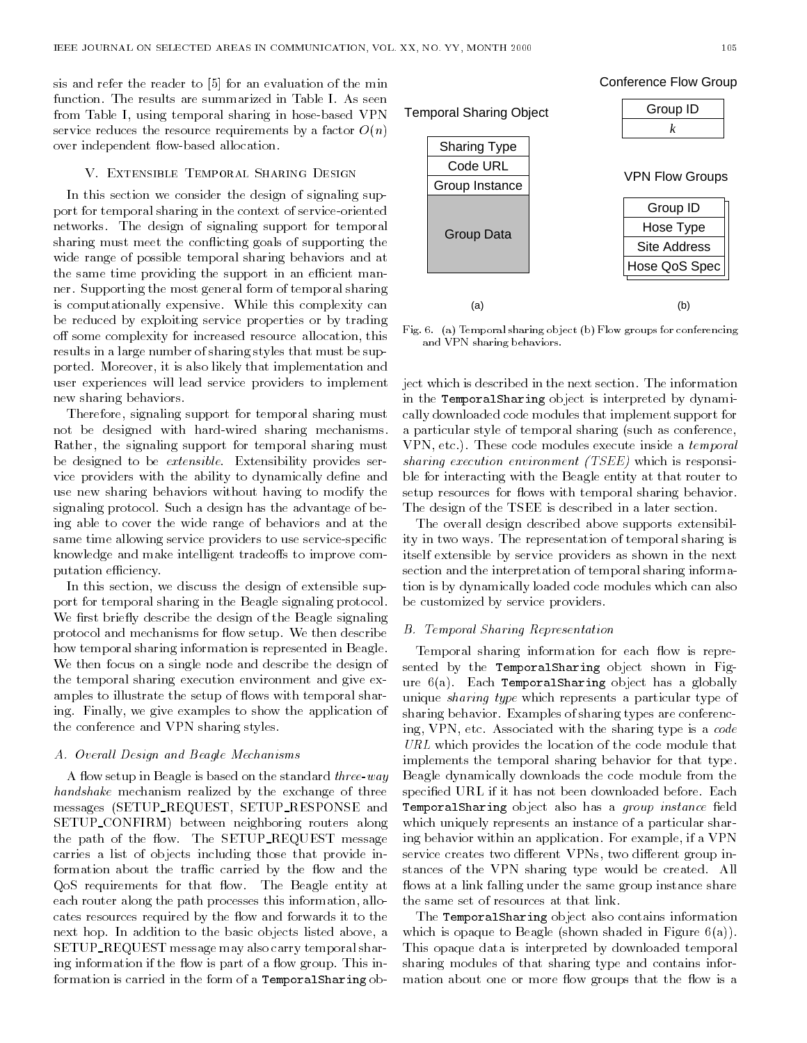sis and refer the reader to for an evaluation of the min from Table I, using temporal sharing in hose-based VPN service reduces the resource requirements by a factor  $O(n)$ over independent flow-based allocation.

# V. EXTENSIBLE TEMPORAL SHARING DESIGN

In this section we consider the design of signaling sup port for temporal sharing in the context of service-oriented networks- The design of signaling support for temporal sharing must meet the conflicting goals of supporting the wide range of possible temporal sharing behaviors and at the same time providing the support in an efficient manner-state the most general form of temporal form of temporal sharing the most general form of the most general is computationally expensive- While this complexity can be reduced by exploiting service properties or by trading off some complexity for increased resource allocation, this results in a large number of sharing styles that must be sup ported-it is also likely that in the implementation and increase  $\mathbf{m}$  is also likely that is also and in user experiences will lead service providers to implement new sharing behaviors-

Therefore, signaling support for temporal sharing must not be designed with hard-wired sharing mechanisms. Rather, the signaling support for temporal sharing must be designed to be extensible- Extensibility provides ser vice providers with the ability to dynamically define and use new sharing behaviors without having to modify the signaling protocol-securities at distinguished and the advantage of being the advantage of being the advantage ing able to cover the wide range of behaviors and at the same time allowing service providers to use service-specific knowledge and make intelligent tradeoffs to improve computation efficiency.

In this section, we discuss the design of extensible support for temporal sharing in the Beagle signaling protocol-We first briefly describe the design of the Beagle signaling protocol and mechanisms for own setup-  $\mathcal{M}$  and  $\mathcal{M}$  over  $\mathcal{M}$  . Then describes for our setup-  $\mathcal{M}$ how temporal sharing information is represented in Beagle. We then focus on a single node and describe the design of the temporal sharing execution environment and give ex amples to illustrate the setup of flows with temporal sharing- Finally we give examples to show the application of the conference and VPN sharing styles-

# A. Overall Design and Beagle Mechanisms

A flow setup in Beagle is based on the standard three-way handshake mechanism realized by the exchange of three messages (SETUP\_REQUEST, SETUP\_RESPONSE and SETUP CONFIRM) between neighboring routers along the path of the owe-the ow-the ow-the-ow-the-ow-the-ow-th-ow-th-ow-th-ow-th-ow-th-ow-th-ow-th-ow-th-ow-th-ow-th-owcarries a list of objects including those that provide in formation about the traffic carried by the flow and the que requirements for that means for the Beagle entity at each router along the path processes this information, allocates resources required by the flow and forwards it to the next hop-basic objects listed above above above above above above above above above above above above above ab SETUP REQUEST message may also carry temporal shar ing information is the own in part of mean group. Since in formation is carried in the form of a TemporalSharing ob



| Group Instance    | <b>VEIN LIUW GIUUPS</b> |
|-------------------|-------------------------|
|                   | Group ID                |
| <b>Group Data</b> | Hose Type               |
|                   | <b>Site Address</b>     |
|                   | Hose QoS Spec           |
| (a)               | (b                      |

Fig. 6. (a) Temporal sharing object (b) Flow groups for conferencing and VPN sharing behaviors

ject which is described in the next section- The information in the TemporalSharing object is interpreted by dynami cally downloaded code modules that implement support for a particular style of temporal sharing (such as conference, ve en etc-prometer execute modules executes inside a temperature sharing execution environment (TSEE) which is responsible for interacting with the Beagle entity at that router to setup resources for flows with temporal sharing behavior. The design of the TSEE is described in a later section.

 be customized by service providers-The overall design described above supports extensibil ity in two ways- The representation of temporal sharing is itself extensible by service providers as shown in the next section and the interpretation of temporal sharing informa tion is by dynamically loaded code modules which can also

# B. Temporal Sharing Representation

Temporal sharing information for each flow is represented by the TemporalSharing object shown in Fig ure a-mail a-mail a-mail a-mail a-mail a-mail a-mail a-mail a-mail a-mail a-mail a-mail a-mail a-mail a-mail a unique *sharing type* which represents a particular type of sharing behavior-members of sharing types are conference ing version that the sharing the sharing type is a code URL which provides the location of the code module that implements the temporal sharing behavior for that type-Beagle dynamically downloads the code module from the species is the downloaded before the state before the state of the state of the state of the state of the state of the state of the state of the state of the state of the state of the state of the state of the state of the TemporalSharing object also has a group instance field which uniquely represents an instance of a particular shar ing behavior with an application-dimension-dimension-dimension-dimension-dimension-dimension-dimension-dimension-dimension-dimension-dimension-dimension-dimension-dimension-dimension-dimension-dimension-dimension-dimensio service creates two different VPNs, two different group instances of the VPN sharing type would be created- All flows at a link falling under the same group instance share the same set of resources at that link-

The TemporalSharing object also contains information which is opaque to Beagle (shown shaded in Figure  $6(a)$ ). This opaque data is interpreted by downloaded temporal sharing modules of that sharing type and contains infor mation about one or more flow groups that the flow is a

Conference Flow Group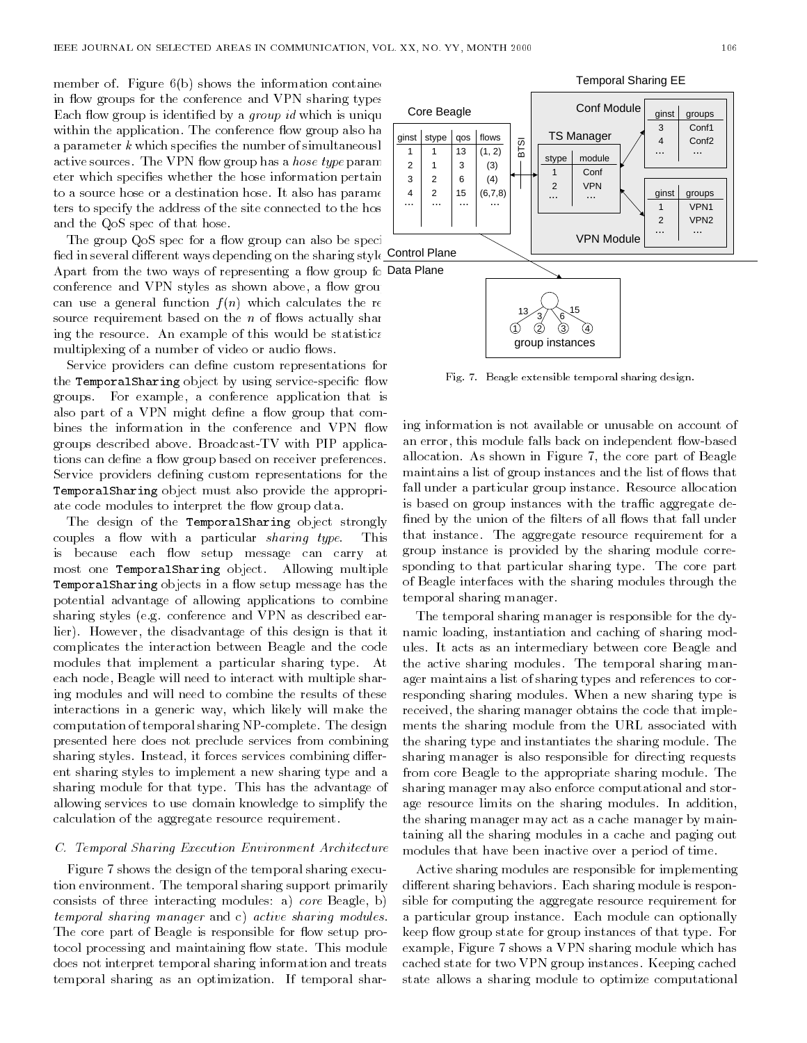$\mathbf{F}$  figure b shows the information contained contained contained contained contained contained contained contained contained contained contained contained contained contained contained contained contained contained c in flow groups for the conference and VPN sharing types Each flow group is identified by a *group id* which is unique with the application-defended problems are application-defended by a set of the conference of the conference o a parameter  $k$  which specifies the number of simultaneousl active sources-based and the VPN operations are the VPN of parameters of the VPN of the VPN of the VPN of the eter which specifies whether the hose information pertain to a source hose or a destination hose- It also has parame ters to specify the address of the site connected to the hos and the QoS spec of that hose-

The group  $QoS$  spec for a flow group can also be specified in several different ways depending on the sharing style **Control Plane** Apart from the two ways of representing a flow group fc Data Plane conference and VPN styles as shown above, a flow group can use a general function  $f(n)$  which calculates the re source requirement based on the  $n$  of flows actually share ing the resource- An example of this would be statistical multiplexing of a number of video or audio flows.

Service providers can define custom representations for the Temporal Sharing object by using service-specific flow groups. For example, a conference application that is a also part of a VPN might define a flow group that combines the information in the conference and VPN flow groups described above-the stripe above-the stripe above-the stripe above-the stripe above-the stripe above-th tions can define a flow group based on receiver preferences. Service providers defining custom representations for the TemporalSharing object must also provide the appropri ate code modules to interpret the flow group data.

The design of the TemporalSharing object strongly couples a flow with a particular sharing type. This is because each flow setup message can carry at most one TemporalSharing object- Allowing multiple TemporalSharing objects in a flow setup message has the potential advantage of allowing applications to combine sharing styles e-g- conference and VPN as described ear lier- However the disadvantage of this design is that it complicates the interaction between Beagle and the code modules that implement a particular sharing typeeach node, Beagle will need to interact with multiple sharing modules and will need to combine the results of these interactions in a generic way, which likely will make the computation of the design  $\mathcal{M}_\mathcal{A}$  and design  $\mathcal{M}_\mathcal{A}$  and design  $\mathcal{M}_\mathcal{A}$  and design  $\mathcal{M}_\mathcal{A}$ presented here does not preclude services from combining sharing styles- Instead it forces services combining dier ent sharing styles to implement a new sharing type and a sharing module for that type- This has the advantage of allowing services to use domain knowledge to simplify the calculation of the aggregate resource requirement.

# C. Temporal Sharing Execution Environment Architecture

Figure 7 shows the design of the temporal sharing execution the temporal sharp through support primarily support the sharing support  $\mathbf{r}_1$ consists of three interacting modules a)  $core$  Beagle, b) temporal sharing manager and c) active sharing modules. The core part of Beagle is responsible for flow setup protocol processing and maintaining ow state- This module does not interpret temporal sharing information and treats temporal sharing as an optimization- If temporal shar



Fig. 7. Beagle extensible temporal sharing design.

ing information is not available or unusable on account of an error, this module falls back on independent flow-based allocation-definition-definition-definition-definition-definition-definition-definition-definition-definitionmaintains a list of group instances and the list of flows that fall under a particular group instance- Resource allocation is based on group instances with the traffic aggregate defined by the union of the filters of all flows that fall under  $\sim$  The aggregate resource requirement for a gagregate requirement for a gagregate requirement for a gap  $\sim$ group instance is provided by the sharing module corre sponding to that particular sharing type-base core particular of Beagle interfaces with the sharing modules through the temporal sharing manager-

The temporal sharing manager is responsible for the dy namic loading, instantiation and caching of sharing modulture at active and intermediately between core Beagle and B the active sharing modules-share component sharing mans ager maintains a list of sharing types and references to cor responding sharing modules- When a new sharing type is received, the sharing manager obtains the code that implements the sharing module from the URL associated with the sharing type and instantiates the sharing module- The sharing manager is also responsible for directing requests from core Beagle to the appropriate sharing module- The sharing manager may also enforce computational and stor age resource modules-side additional modules-sharing modulesthe sharing manager may act as a cache manager by main taining all the sharing modules in a cache and paging out modules that have been inactive over a period of time-

Active sharing modules are responsible for implementing adiere sharing sharing module is responsible in the sharing module is responsible. sible for computing the aggregate resource requirement for a particular group instance-distribution instance-distribution instance-distribution in the can optional can o keep ow group state for group instances of that type- For example, Figure 7 shows a VPN sharing module which has cached state for two VPN group instances in the planet of the contract of the contract of the contract of the c state allows a sharing module to optimize computational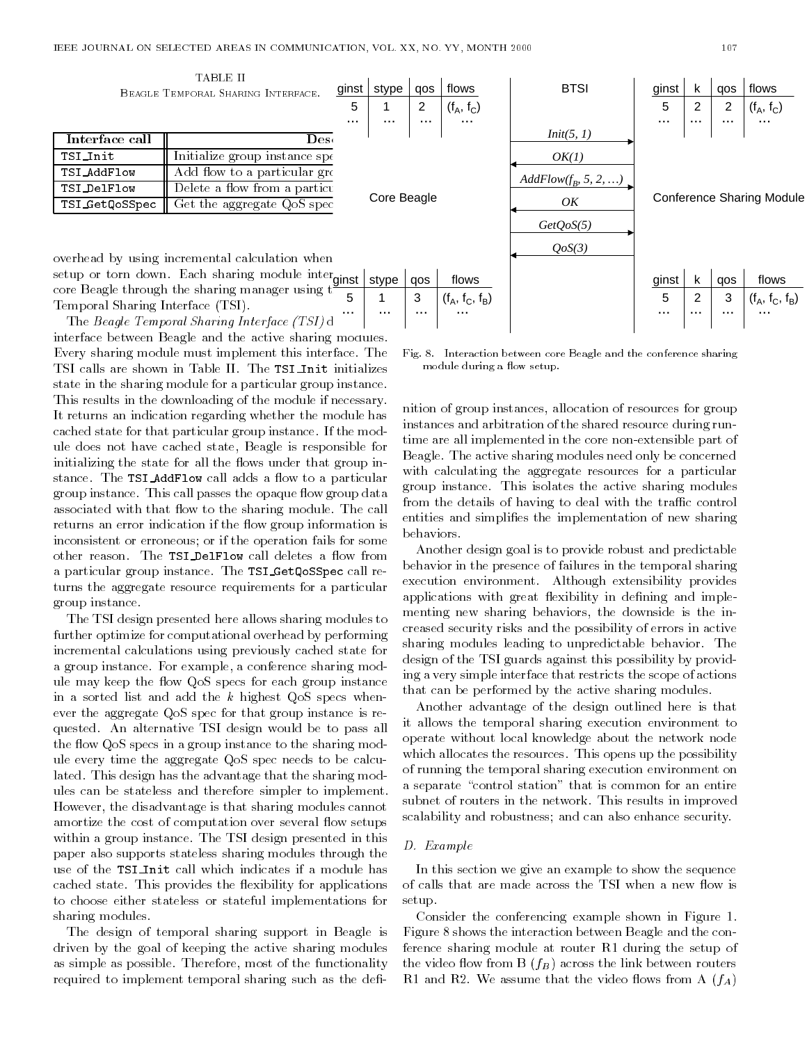

The Beagle Temporal Sharing Interface  $(TSI)$ interface between Beagle and the active sharing modules. Every sharing module must implement this interface- The TSI calls are shown in Table II. The TSI II-T in Table II-T state in the sharing module for a particular group instance-This results in the downloading of the module if necessary-It returns an indication regarding whether the module has can be that particular group instance-that particular group instance-that particular group instanceule does not have cached state, Beagle is responsible for initializing the state for all the flows under that group instance-the TSI Additional additional additional additional additional additional additional additional addition group instance-energy instance-energy own group data and  $\eta$ associated with the sharing model and sharing model with the call returns an error indication if the flow group information is inconsistent or erroneous; or if the operation fails for some other reason-term reason-term reason-term reason-term reason-term reason-term reason-term reason-term reason-t

a particular group instance-enter correcting the process of turns the aggregate resource requirements for a particular group instance-

The TSI design presented here allows sharing modules to further optimize for computational overhead by performing incremental calculations using previously cached state for a group instance-room instance-of-stance-sharing models and conference sharing models. ule may keep the flow QoS specs for each group instance in a sorted list and add the  $k$  highest QoS specs whenever the aggregate QoS spec for that group instance is re quested-an alternative TSI design would be to pass all the flow QoS specs in a group instance to the sharing module every time the aggregate QoS spec needs to be calcu lated- This design has the advantage that the sharing mod ules can be stateless and therefore simpler to implement-However the disadvantage is that sharing modules cannot amortize the cost of computation over several flow setups with a group instance-term instance-term in this contribution is a group of the TSI design presented in this contribution of the TSI design presented in the TSI design presented in this contribution is a second to be a sec paper also supports stateless sharing modules through the use of the TSI Init call which indicates if a module has cached state-the existence that movement, for applications the to choose either stateless or stateful implementations for sharing modules-

The design of temporal sharing support in Beagle is driven by the goal of keeping the active sharing modules as simple as possible- with the functionality of the function  $\mathcal{C}$ required to implement temporal sharing such as the de

Fig. 8. Interaction between core Beagle and the conference sharing module during a flow setup. module during a ow setup

nition of group instances, allocation of resources for group instances and arbitration of the shared resource during run time are all implemented in the core non-extensible part of Beagle- The active sharing modules need only be concerned with calculating the aggregate resources for a particular group instance- This isolates the active sharing modules from the details of having to deal with the traffic control entities and simplifies the implementation of new sharing behaviors-

Another design goal is to provide robust and predictable behavior in the presence of failures in the temporal sharing execution environment- Although extensibility provides applications with great flexibility in defining and implementing new sharing behaviors, the downside is the increased security risks and the possibility of errors in active sharing modules leading to unpredictable behavior- The design of the TSI guards against this possibility by provid ing a very simple interface that restricts the scope of actions that can be performed by the active sharing modules-

Another advantage of the design outlined here is that it allows the temporal sharing execution environment to operate without local knowledge about the network node which allocates the resources-the possibility of the possibility  $\mathcal{L}_{\mathcal{A}}$ of running the temporal sharing execution environment on a separate "control station" that is common for an entire substructs in this state in the network-the network-the network in improved the state of  $\sim$ scalability and robustness; and can also enhance security.

# D. Example

In this section we give an example to show the sequence of calls that are made across the TSI when a new flow is setup.

Consider the conferencing example shown in Figure 1. Figure 8 shows the interaction between Beagle and the conference sharing module at router R1 during the setup of the video flow from B  $(f_B)$  across the link between routers  $\mathcal{L}$  - and R  $\mathcal{L}$  and R  $\mathcal{L}$  and  $\mathcal{L}$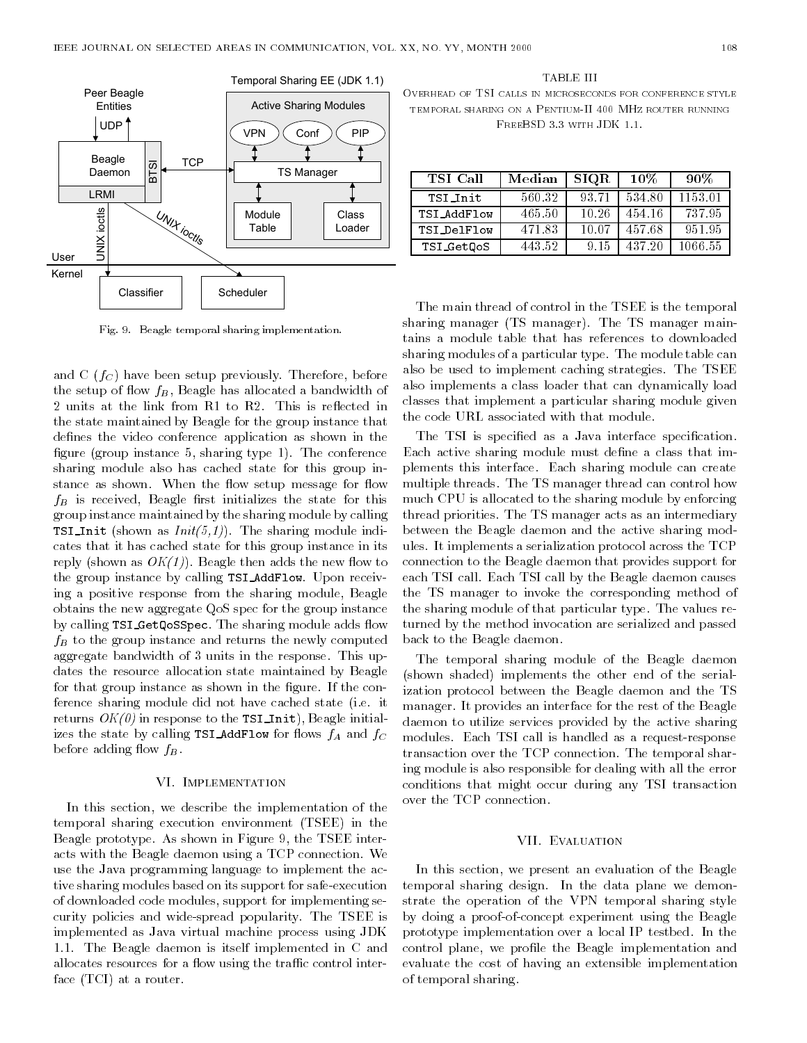

Fig. 9. Beagle temporal sharing implementation.

and C  $\{f\in F: \mathbb{R}^n\mid \mathbb{R}^n\}$  are considered before before before before before before  $\mathbb{R}^n$ the setup of flow  $f_B$ , Beagle has allocated a bandwidth of the state maintained by Beagle for the group instance that defines the video conference application as shown in the agure group instance by since  $\mathbf{q}$  type  $\mathbf{r}_i$  conferences. sharing module also has cached state for this group in stance as shown-when the owner for owner the owner  $\pi$  $f_B$  is received, Beagle first initializes the state for this group instance maintained by the sharing module by calling The shown as India Initially interesting module in the shown of the share indianal contract of the share of the cates that it has cached state for this group instance in its reply shown as OK- Beagle then adds the new ow to the group instance by calling TSI  $\sim$  1.1 AddFlow-Blow-Charling TSI AddFlowing a positive response from the sharing module, Beagle obtains the new aggregate QoS spec for the group instance by calling TSI GetQoSSpec- The sharing module adds ow  $f_B$  to the group instance and returns the newly computed aggregate bandwidth of the responsedates the resource allocation state maintained by Beagle for that group instance as shown in the gure- If the con ference sharing module did not have cached state i-e- it returns  $OK(0)$  in response to the TSI\_Init), Beagle initializes the state by calling TSI\_AddFlow for flows  $f_A$  and  $f_C$ before adding flow  $f_B$ .

# VI. IMPLEMENTATION

In this section, we describe the implementation of the temporal sharing execution environment (TSEE) in the Beagle prototype- As shown in Figure the TSEE inter  $\mathbf \Theta$  with the Beagle daemonic using a TCP connectionuse the Java programming language to implement the ac tive sharing modules based on its support for safe-execution of downloaded code modules, support for implementing security policies and widespread policies and widespread policies and widespread popularity-type is a set of the implemented as Java virtual machine process using JDK - - The Beagle daemon is itself implemented in C and allocates resources for a flow using the traffic control interface  $(TCI)$  at a router.

Overhead of TSI calls in microseconds for conference styleTEMPORAL SHARING ON A PENTIUM-II 400 MHZ ROUTER RUNNING FREEBSD 3.3 WITH JDK 1.1.

| <b>TSI Call</b> | Median | <b>SIQR</b> | $10\%$ | $90\%$  |
|-----------------|--------|-------------|--------|---------|
| TSI_Init        | 560.32 | 93.71       | 534.80 | 1153.01 |
| TSI_AddFlow     | 465.50 | 10.26       | 454.16 | 737.95  |
| TSI_DelFlow     | 471.83 | 10.07       | 457.68 | 951.95  |
| TSI_GetQoS      | 443.52 | 9.15        | 437.20 | 1066.55 |

The main thread of control in the TSEE is the temporal sharing manager , we manager, which we manager manage tains a module table that has references to downloaded sharing modules of a particular type- The module table can also be used to implement caching strategies- The TSEE also implements a class loader that can dynamically load classes that implement a particular sharing module given the code URL associated with that module-

The TSI is specified as a Java interface specification. Each active sharing module must define a class that imprements the module can can construct mode can create the multiple threads- The TS manager thread can control how much CPU is allocated to the sharing module by enforcing thread priorities- The TS manager acts as an intermediary between the Beagle daemon and the active sharing mod ules- It implements a series- it is the TCP series the TCP series that the TCP series the TCP series of TCP series connection to the Beagle daemon that provides support for each TSI call- Each TSI call by the Beagle daemon causes the TS manager to invoke the corresponding method of the sharing module of that particular type- The values re turned by the method invocation are serialized and passed back to the Beagle daemon.

The temporal sharing module of the Beagle daemon (shown shaded) implements the other end of the serialization protocol between the Beagle daemon and the TS manager- It provides an interface for the rest of the Beagle daemon to utilize services provided by the active sharing modules- Each TSI call is handled as a requestresponse of the call is handled as a requestresponse of the call transaction over the TCP connection- The temporal shar ing module is also responsible for dealing with all the error conditions that might occur during any TSI transaction over the TCP connection.

#### VII. EVALUATION

In this section, we present an evaluation of the Beagle temporal sharing design- In the data plane we demon strate the operation of the VPN temporal sharing style by doing a proof-of-concept experiment using the Beagle prototype implementation over a local IP testbed- In the control plane, we profile the Beagle implementation and evaluate the cost of having an extensible implementation of temporal sharing-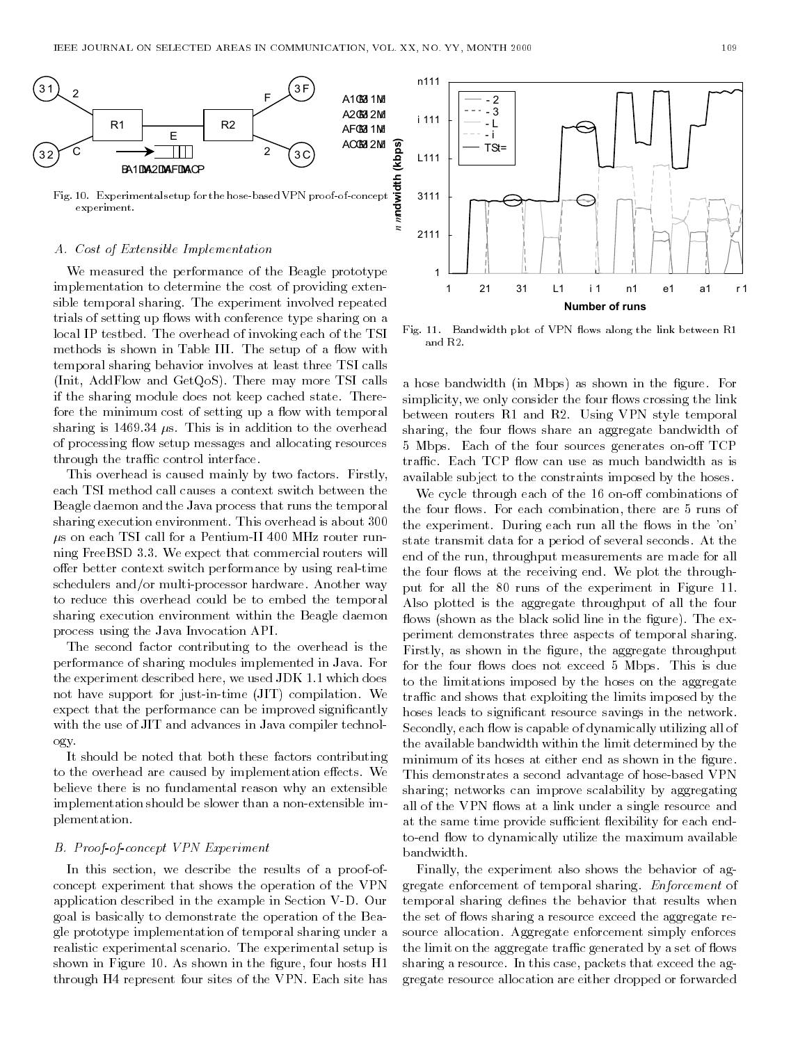

Fig - Experimental setup for the hosebased VPN proofofconcept experiment experiments.

#### A. Cost of Extensible Implementation

We measured the performance of the Beagle prototype implementation to determine the cost of providing exten sible temporal sharing- which inperiment involved repeated to trials of setting up flows with conference type sharing on a local IP testbed- The overhead of invoking each of the TSI methods is shown in Table III- The setup of a ow with temporal sharing behavior involves at least three TSI calls Initial and More and Get All and Get  $\alpha$  and  $\alpha$  and  $\alpha$  and  $\alpha$ if the sharing module does not keep cached state- There fore the minimum cost of setting up a flow with temporal sharing is in addition to the overhead in a state of the overhead in a state of the overhead in a state of the of processing flow setup messages and allocating resources through the traffic control interface.

This overhead is caused mainly by two factors- Firstly each TSI method call causes a context switch between the Beagle daemon and the Java process that runs the temporal sharing execution environment- This overhead is about  $\mu$ s on each TSI call for a Pentium-II 400 MHz router running FreeBSD 
-- We expect that commercial routers will offer better context switch performance by using real-time schedulers andor multiprocessor hardware- Another way to reduce this overhead could be to embed the temporal sharing execution environment within the Beagle daemon process using the Java Invocation API-

The second factor contributing to the overhead is the performance of sharing modules implemented in Java- For the the experiment described and doesn't which is not all which doesn't which is not music support for just for the justing and provided the l expect that the performance can be improved significantly with the use of JIT and advances in Java compiler technology-

It should be noted that both these factors contributing to the overhead are caused by implementation eects- We believe there is no fundamental reason why an extensible implementation should be slower than a nonextensible im plementation-

# B. Proof-of-concept VPN Experiment

In this section, we describe the results of a proof-ofconcept experiment that shows the operation of the VPN application described in the example in Section VD- Our goal is basically to demonstrate the operation of the Bea gle prototype implementation of temporal sharing under a realistic experimental setup is a setup is experimental setup is the setup is a setup in shown in Figure Second and the shown in the gure four hosts Hosts Hosts through H represent four sites of the VPN-  $\sim$  100  $\mu$ 



 $\mathbf{F}_{\mathbf{S}}$ and R

a hose bandwidth in Mbps as shown in Mbps in the shown in the guresimplicity, we only consider the four flows crossing the link between routers R and R  $\alpha$  and R  $\alpha$  and R  $\alpha$  and R  $\alpha$  and R  $\alpha$  and R  $\alpha$ sharing, the four flows share an aggregate bandwidth of , which is a four sources and the four sources on the four sources of the four sources of the four sources of available subject to the constraints imposed by the hoses.

We cycle through each of the 16 on-off combinations of the four ows- For each combination there are runs of the experiment-beam experiment-beam experiment-beam experiment-beam experiment-beam experiment-beam experimentstate transmitted and a period of seconds-the second secondsend of the run, throughput measurements are made for all the four ows at the receiving the through place the through put for all the  $80$  runs of the experiment in Figure 11. Also plotted is the aggregate throughput of all the four ows shown as the black solid line in the extension  $\mathcal{L}_{\mathbf{A}}$ periment demonstrates three aspects of temporal sharing-Firstly, as shown in the figure, the aggregate throughput for the four ows does not exceed Mbps- This is due to the limitations imposed by the hoses on the aggregate traffic and shows that exploiting the limits imposed by the hoses leads to significant resource savings in the network. Secondly, each flow is capable of dynamically utilizing all of the available bandwidth within the limit determined by the minimum of its hoses at either end as shown in the figure. This demonstrates a second advantage of hosebased VPN sharing; networks can improve scalability by aggregating all of the VPN flows at a link under a single resource and at the same time provide sufficient flexibility for each endto-end flow to dynamically utilize the maximum available bandwidth.

Finally, the experiment also shows the behavior of aggregate enforcement of temporal sharing- many contents of temporal sharing defines the behavior that results when the set of flows sharing a resource exceed the aggregate resource allocation- Aggregate enforcement simply enforces the limit on the aggregate traffic generated by a set of flows sharing a resource-mackets that exceeding the agency and also the agency  $\mathbf{u}_\mathbf{A}$ gregate resource allocation are either dropped or forwarded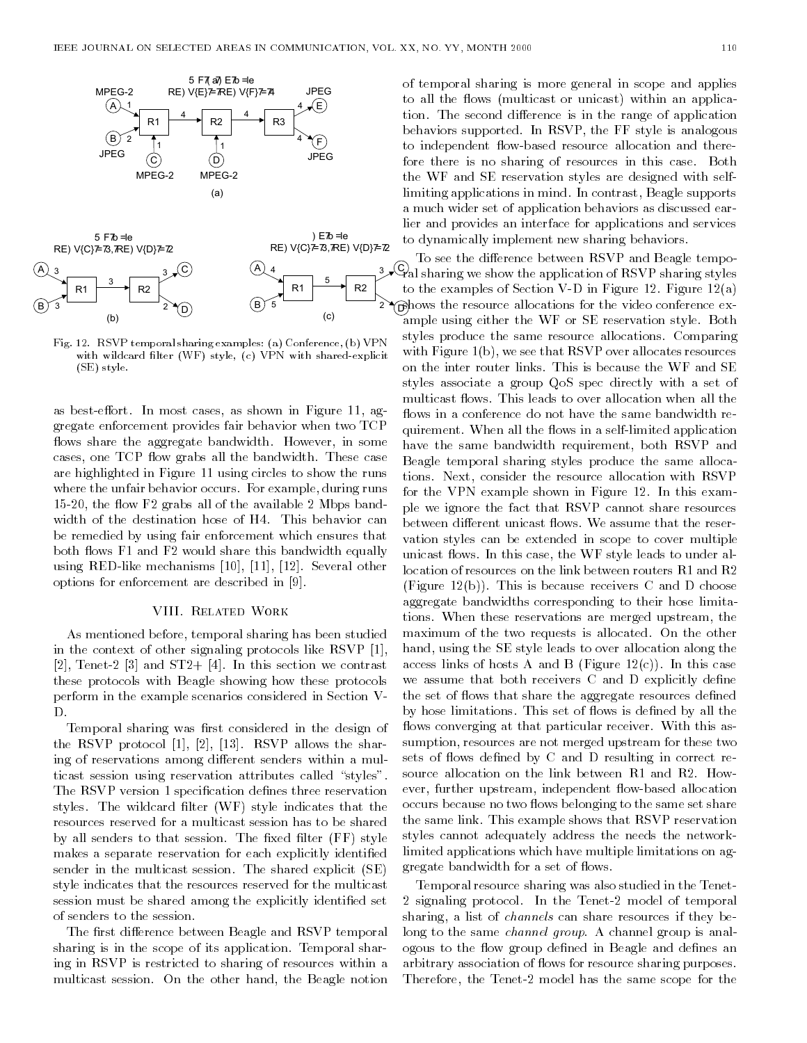

Fig - RSVP temporal sharing examples a Conference b VPN with wildcard filter (WF) style, (c) VPN with shared-explicit (SE) style.

as best cases as shown in the set was not be a spectrum of  $\mathbf{a}_i$ gregate enforcement provides fair behavior when two TCP ows share the aggregate bandwidthcases one Texture all the bandwidthare highlighted in Figure 11 using circles to show the runs where the unfaire occurs of the unit of the company runs-complete the state of the state of the state of the s  $15-20$ , the flow F2 grabs all of the available 2 Mbps bandwith a the destination hose of H-C - And - Although the State of  $\mathbf{I}$ be remedied by using fair enforcement which ensures that both flows F1 and F2 would share this bandwidth equally using reduced and the contract of the contract of the contract of the contract of the contract of the contract o options for enforcement are described in the description of the description of the described in the described i

#### VIII Related Work

As mentioned before, temporal sharing has been studied in the context of other signaling protocols like RSVP . The ST is a section of the section we contrast the section of the section of the section of the section of the section of the section of the section of the section of the section of the section of the section of the sect these protocols with Beagle showing how these protocols perform in the example scenarios considered in Section V  $\mathbf D$  .

Temporal sharing was first considered in the design of the RSVP protocol and the sharp with the sharp continues of the sharp of the sharp of the sharp of the sharp of the sharp of the sharp of the sharp of the sharp of the sharp of the sharp of the sharp of the sharp of the sh ing of reservations among different senders within a multicast session using reservation attributes called "styles". The RSVP version 1 specification defines three reservation styless- wild cardinals and the wildcard indicates the state that the state of the state of the state of the s resources reserved for a multicast session has to be shared by all senders to the xed lter FF style senders to the xed lter FF style sessionmakes a separate reservation for each explicitly identified sender in the multicast session- The shared explicit SE style indicates that the resources reserved for the multicast session must be shared among the explicitly identified set of senders to the session-

The first difference between Beagle and RSVP temporal sharing is in the scope of its application- weight and share ing in RSVP is restricted to sharing of resources within a multicast session-beagle notion-beagle notion-beagle notion-beagle notion-beagle notion-beagle notion-beagle n

of temporal sharing is more general in scope and applies to all the flows (multicast or unicast) within an application- The second dierence is in the range of application behaviors supported in RSVP the FF style is analogous supported in FF style is analogous supported in the FF s to independent flow-based resource allocation and therefore there is no sharing of resources in this case- Both the WF and SE reservation styles are designed with self limiting applications in mind- In contrast Beagle supports a much wider set of application behaviors as discussed ear lier and provides an interface for applications and services to dynamically implement new sharing behaviors-

 $C_{\text{sol} \text{ behavior, we show the application of DCVD, showing the value of the system.}$  shows the resource allocations for the video conference ex ral sharing we show the application of RSVP sharing styles to the examples of the examples of  $\mathcal{F}$  is the example of  $\mathcal{F}$  in Figure . In Figure , we are the example of the example of the example of the example of the example of the example of the example of the example of ample using either the WF or SE reservation style-service style-service style-service style-service style-serv styles produce the same resource allocations- Comparing with Figure  $1(b)$ , we see that RSVP over allocates resources styles associate a group QoS spec directly with a set of flows in a conference do not have the same bandwidth requirement and our the ows in a self-limited application of the owner of the selfhave the same bandwidth requirement, both RSVP and Beagle temporal sharing styles produce the same alloca tions- title; timestics into protions- with resource with  $\sim$ for the VI consequent and the Signet Set and the shown in ple we ignore the fact that RSVP cannot share resources vation styles can be extended in scope to cover multiple unicast ows-leads owners the WF style leads to understand the WF style leads to under all location of resources on the link between routers  $R1$  and  $R2$  $\mathbf{F}$  and  $\mathbf{F}$  is because receivers  $\mathbf{F}$  and  $\mathbf{F}$  and  $\mathbf{F}$  and  $\mathbf{F}$  and  $\mathbf{F}$  and  $\mathbf{F}$  and  $\mathbf{F}$  and  $\mathbf{F}$  and  $\mathbf{F}$  and  $\mathbf{F}$  and  $\mathbf{F}$  and  $\mathbf{F}$  and  $\mathbf{F}$  and  $\mathbf{F}$  aggregate bandwidths corresponding to their hose limita tions-when these reservations are merged upstream these reservations are media and the service of the service o maximum of the two requests is allocated- On the other hand, using the SE style leads to over allocation along the access links of hosts A and B  $\sim$  Figure . And B  $\sim$  1.1 and B  $\sim$  1.1 and B  $\sim$  1.1 and B  $\sim$  1.1 and B  $\sim$  1.1 and B  $\sim$  1.1 and B  $\sim$  1.1 and B  $\sim$  1.1 and B  $\sim$  1.1 and B  $\sim$  1.1 and B  $\sim$  1.1 and B  $\sim$  1 we assume that both receivers C and D explicitly define the set of flows that share the aggregate resources defined by discussions-contractions were denoted by an original the contract  $\mathcal{L}_{\mathcal{A}}$ ows converging at the particular receiver-beneficial receiversumption, resources are not merged upstream for these two sets of flows defined by  $C$  and  $D$  resulting in correct reever, further upstream, independent flow-based allocation occurs because no two flows belonging to the same set share the same link- This example shows that RSVP reservation styles cannot adequately address the needs the network limited applications which have multiple limitations on ag gregate bandwidth for a set of flows.

Temporal resource sharing was also studied in the Tenet  signaling protocol- In the Tenet model of temporal sharing, a list of *channels* can share resources if they belong to the same channel group- Achannel group is anal ogous to the flow group defined in Beagle and defines an arbitrary association of flows for resource sharing purposes. Therefore, the Tenet-2 model has the same scope for the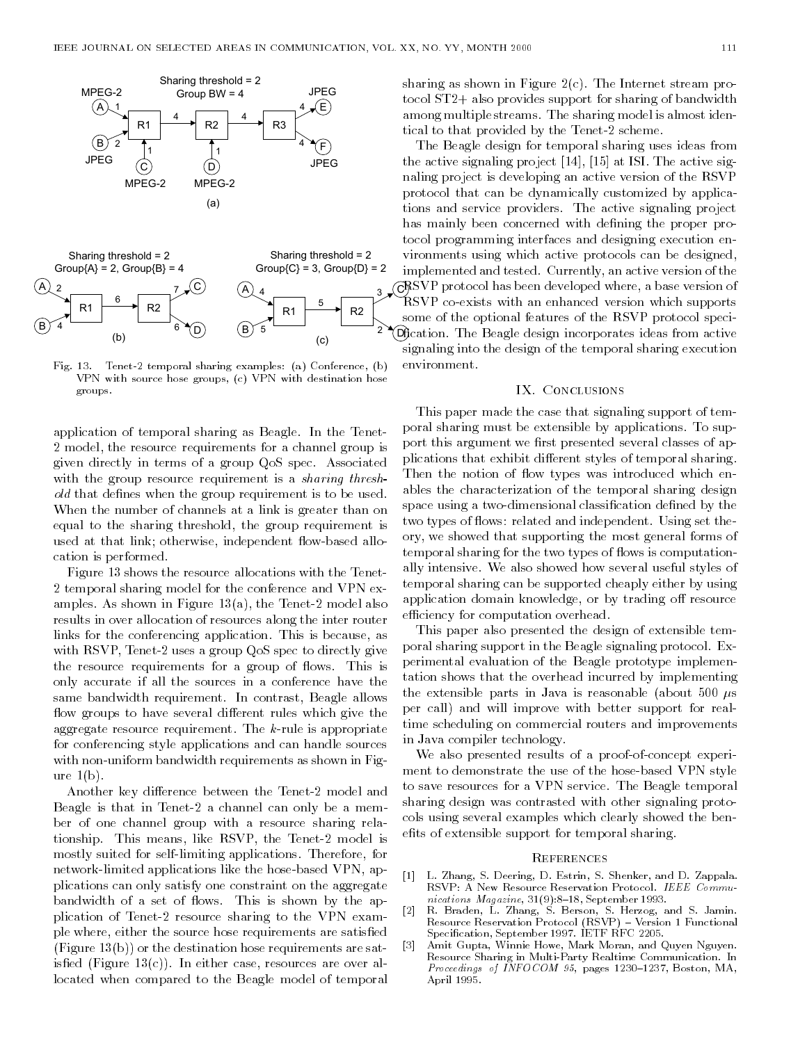

Fig - Tenet temporal sharing examples a Conference b VPN with source hose groups,  $(c)$  VPN with destination hose groups

application of the Teneth as Beagle-In the Teneth Section as Beagle-In the Teneth Section as Beagle-In the Ten 2 model, the resource requirements for a channel group is given directly in terms of a group QoS spec- Associated with the group resource requirement is a *sharing thresh* $old$  that defines when the group requirement is to be used. When the number of channels at a link is greater than on equal to the sharing threshold, the group requirement is used at that link; otherwise, independent flow-based allocation is performed.

Figure 13 shows the resource allocations with the Tenet-2 temporal sharing model for the conference and VPN exas shown in Figure . The Teneth model is the state of the  $\sim$  the  $\sim$ results in over allocation of resources along the inter router links for the conferencing application- This is because as with RSVP, Tenet-2 uses a group QoS spec to directly give the resource requirements for a group of  $\mathcal{C}$  and  $\mathcal{C}$  are  $\mathcal{C}$  and  $\mathcal{C}$  and  $\mathcal{C}$  are  $\mathcal{C}$  and  $\mathcal{C}$  are  $\mathcal{C}$  and  $\mathcal{C}$  and  $\mathcal{C}$  are  $\mathcal{C}$  and  $\mathcal{C}$  and  $\mathcal{C}$  are  $\mathcal{C}$  an only accurate if all the sources in a conference have the same bandwidth requirement-the contrast Beagle allows were all flow groups to have several different rules which give the aggregate requirement-term is appropriate requirement-term in the krule is appropriate requirementfor conferencing style applications and can handle sources with non-uniform bandwidth requirements as shown in Figure  $1(b)$ .

Another key difference between the Tenet-2 model and Beagle is that in Tenet-2 a channel can only be a member of one channel group with a resource sharing rela tionship- This means like RSVP the Tenet model is mostly suited for selflimiting applications- Therefore for network-limited applications like the hose-based VPN, applications can only satisfy one constraint on the aggregate bandwidth of a set of ows- This is shown by the approximation of ows- This is shown by the approximation of approximation of  $\mathbb{R}^n$ plication of Tenet-2 resource sharing to the VPN example where, either the source hose requirements are satisfied  $(Figure 13(b))$  or the destination hose requirements are satis either case of the common case of the case of the case of the case of the case of the case of the case of t located when compared to the Beagle model of temporal

sharing as shown in Figure c- The Internet stream pro tocol  $ST2+$  also provides support for sharing of bandwidth among manapasar streams- terms almost identity model is almost it almost it almost it almost it almost it almo tical to that provided by the Tenet-2 scheme.

 RSVP protocol has been developed where a base version of Dijcation. The Beagle design incorporates ideas from active The Beagle design for temporal sharing uses ideas from the active signalized project  $\vert$  is replaced that  $\vert$  is the active signalized by  $\vert$ naling project is developing an active version of the RSVP protocol that can be dynamically customized by applica tions and service providers- The active signaling project has mainly been concerned with defining the proper protocol programming interfaces and designing execution en vironments using which active protocols can be designed implemented and tested- Currently an active version of the RSVP coexists with an enhanced version which supports some of the optional features of the RSVP protocol speci signaling into the design of the temporal sharing execution environment.

# IX. CONCLUSIONS

This paper made the case that signaling support of tem poral sharing must be extensions-up appearance as an pop port this argument we first presented several classes of applications that exhibit different styles of temporal sharing. Then the notion of flow types was introduced which enables the characterization of the temporal sharing design space using a two-dimensional classification defined by the two types of ows related and independent-data independent-types of owe related and independent-types of our set the ory, we showed that supporting the most general forms of temporal sharing for the two types of flows is computationally internative, also showe mind also need the styles of the styles of the styles of the styles of the styles temporal sharing can be supported cheaply either by using application domain knowledge, or by trading off resource efficiency for computation overhead.

This paper also presented the design of extensible tem poral sharing support in the Beagle signaling protocol-mil perimental evaluation of the Beagle prototype implemen tation shows that the overhead incurred by implementing the extensible parts in Java is reasonable (about 500  $\mu$ s per call) and will improve with better support for realtime scheduling on commercial routers and improvements in Java compiler technology-

We also presented results of a proof-of-concept experiment to demonstrate the use of the hose-based VPN style to save resources for a VPN service- The Beagle temporal sharing design was contrasted with other signaling proto cols using several examples which clearly showed the ben efits of extensible support for temporal sharing.

#### **REFERENCES**

- L. Zhang, S. Deering, D. Estrin, S. Shenker, and D. Zappala.  $\left[1\right]$ RSVP: A New Resource Reservation Protocol. IEEE Communications are regimented to a process to a process of the
- R Braden L Zhang S Berson S Herzog and S Jamin Resource Reservation Protocol RSVP Version - Functional species and september of the september of the september of the september of the september of the september of
- [3] Amit Gupta, Winnie Howe, Mark Moran, and Quyen Nguyen. Resource Sharing in Multi-Party Realtime Communication. In recognized and the INFOCOM - pages - pages - pages - pages - pages - pages - pages - pages - pages - pages - p April - April - April - April - April - April - April - April - April - April - April - April - April - April